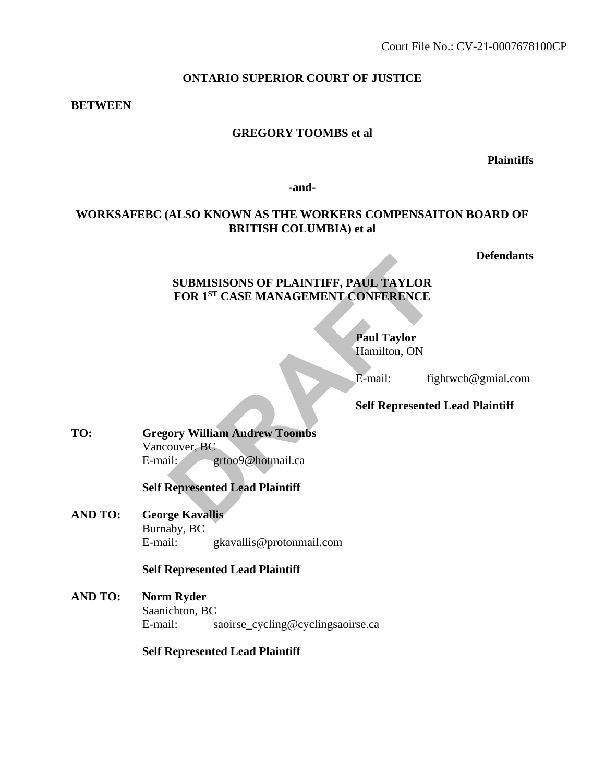#### **ONTARIO SUPERIOR COURT OF JUSTICE**

#### **BETWEEN**

#### **GREGORY TOOMBS et al**

**Plaintiffs**

**-and-**

# **WORKSAFEBC (ALSO KNOWN AS THE WORKERS COMPENSAITON BOARD OF BRITISH COLUMBIA) et al**

**Defendants**

# **SUBMISISONS OF PLAINTIFF, PAUL TAYLOR FOR 1ST CASE MANAGEMENT CONFERENCE SUBMISISONS OF PLAINTIFF, PAUL TAYLOR<br>
FOR 1<sup>ST</sup> CASE MANAGEMENT CONFERENCE<br>
Paul Taylor<br>
Hamilton, ON<br>
E-mail: fig<br>
Self Represented<br>
ory William Andrew Toombs<br>
il: fig<br>
grtoo9@hotmail.ca<br>
Represented Lead Plaintiff<br>
ge**

**Paul Taylor**  Hamilton, ON

E-mail: fightwcb@gmial.com

#### **Self Represented Lead Plaintiff**

**TO: Gregory William Andrew Toombs** Vancouver, BC E-mail: grtoo9@hotmail.ca

**Self Represented Lead Plaintiff**

**AND TO: George Kavallis** Burnaby, BC E-mail: gkavallis@protonmail.com

# **Self Represented Lead Plaintiff**

**AND TO: Norm Ryder** Saanichton, BC E-mail: saoirse\_cycling@cyclingsaoirse.ca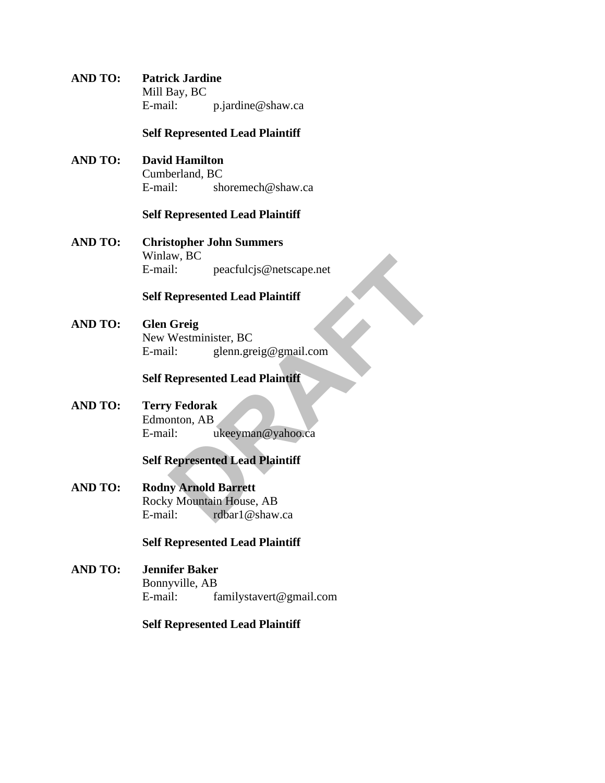**AND TO: Patrick Jardine** Mill Bay, BC E-mail: p.jardine@shaw.ca

#### **Self Represented Lead Plaintiff**

**AND TO: David Hamilton** Cumberland, BC E-mail: shoremech@shaw.ca

#### **Self Represented Lead Plaintiff**

**AND TO: Christopher John Summers** Winlaw, BC E-mail: peacfulcjs@netscape.net

# **Self Represented Lead Plaintiff**

**AND TO: Glen Greig** New Westminister, BC E-mail: glenn.greig@gmail.com aw, BC<br>
il: peacfulcjs@netscape.net<br> **Represented Lead Plaintiff**<br> **Greig**<br>
Westminister, BC<br>
il: glenn.greig@gmail.com<br> **Represented Lead Plaintiff**<br>
y Fedorak<br>
nnton, AB<br>
il: ukeeyman@yahoo.ca<br> **Represented Lead Plaintif** 

#### **Self Represented Lead Plaintiff**

**AND TO: Terry Fedorak** Edmonton, AB E-mail: ukeeyman@yahoo.ca

# **Self Represented Lead Plaintiff**

**AND TO: Rodny Arnold Barrett** Rocky Mountain House, AB E-mail: rdbar1@shaw.ca

# **Self Represented Lead Plaintiff**

**AND TO: Jennifer Baker** Bonnyville, AB E-mail: familystavert@gmail.com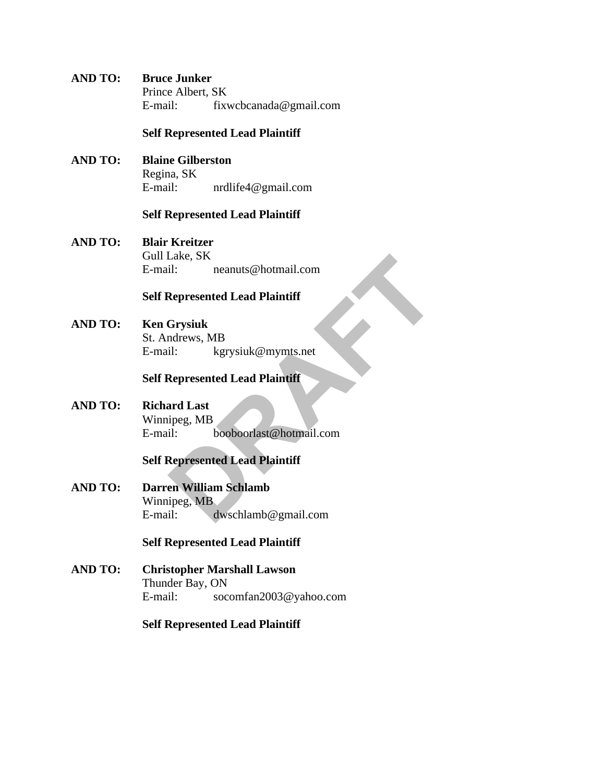**AND TO: Bruce Junker** Prince Albert, SK E-mail: fixwcbcanada@gmail.com

#### **Self Represented Lead Plaintiff**

**AND TO: Blaine Gilberston** Regina, SK E-mail: nrdlife4@gmail.com

#### **Self Represented Lead Plaintiff**

**AND TO: Blair Kreitzer** Gull Lake, SK E-mail: neanuts@hotmail.com

#### **Self Represented Lead Plaintiff**

**AND TO: Ken Grysiuk** St. Andrews, MB E-mail: kgrysiuk@mymts.net

#### **Self Represented Lead Plaintiff**

**AND TO: Richard Last** Winnipeg, MB E-mail: booboorlast@hotmail.com Lake, SK<br>
il: neanuts@hotmail.com<br> **Represented Lead Plaintiff**<br> **Grysiuk**<br>
drews, MB<br>
il: kgrysiuk@mymts.net<br> **Represented Lead Plaintiff**<br>
ard Last<br>
il: booboorlast@hotmail.com<br> **Represented Lead Plaintiff**<br>
en William S

# **Self Represented Lead Plaintiff**

**AND TO: Darren William Schlamb** Winnipeg, MB E-mail: dwschlamb@gmail.com

#### **Self Represented Lead Plaintiff**

**AND TO: Christopher Marshall Lawson** Thunder Bay, ON E-mail: socomfan2003@yahoo.com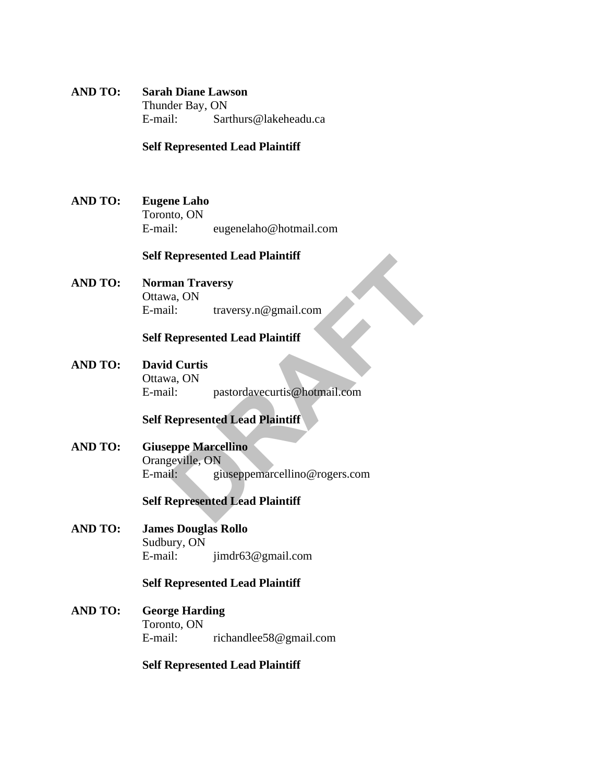**AND TO: Sarah Diane Lawson** Thunder Bay, ON E-mail: Sarthurs@lakeheadu.ca

#### **Self Represented Lead Plaintiff**

**AND TO: Eugene Laho** Toronto, ON E-mail: eugenelaho@hotmail.com

#### **Self Represented Lead Plaintiff**

**AND TO: Norman Traversy** Ottawa, ON E-mail: traversy.n@gmail.com

### **Self Represented Lead Plaintiff**

**AND TO: David Curtis** Ottawa, ON E-mail: pastordavecurtis@hotmail.com

# **Self Represented Lead Plaintiff**

**AND TO: Giuseppe Marcellino** Orangeville, ON E-mail: giuseppemarcellino@rogers.com **Represented Lead Plaintiff**<br>
Ma, ON<br>
di: traversy.n@gmail.com<br> **Represented Lead Plaintiff**<br>
d Curtis<br>
a, ON<br>
il: pastordavecurtis@hotmail.com<br> **Represented Lead Plaintiff**<br>
peppe Marcellino<br>
geville, ON<br>
il: giuseppemarc

#### **Self Represented Lead Plaintiff**

**AND TO: James Douglas Rollo** Sudbury, ON E-mail: jimdr63@gmail.com

#### **Self Represented Lead Plaintiff**

**AND TO: George Harding** Toronto, ON E-mail: richandlee58@gmail.com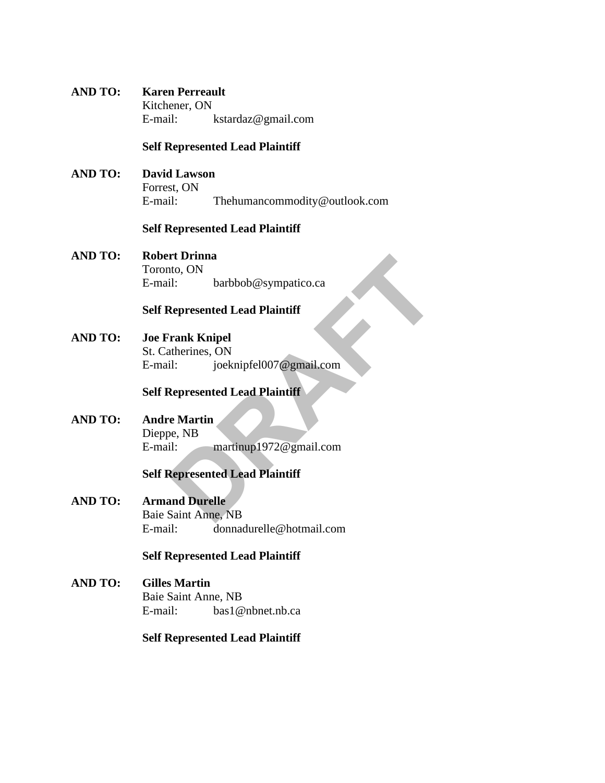# **AND TO: Karen Perreault**

Kitchener, ON E-mail: kstardaz@gmail.com

# **Self Represented Lead Plaintiff**

**AND TO: David Lawson** Forrest, ON E-mail: Thehumancommodity@outlook.com

# **Self Represented Lead Plaintiff**

**AND TO: Robert Drinna** Toronto, ON E-mail: barbbob@sympatico.ca

# **Self Represented Lead Plaintiff**

**AND TO: Joe Frank Knipel**  St. Catherines, ON E-mail: joeknipfel007@gmail.com rt Drinna<br>
ito, ON<br>
il: barbbob@sympatico.ca<br> **Represented Lead Plaintiff**<br> **Prank Knipel**<br>
it: joeknipfel007@gmail.com<br>
Represented Lead Plaintiff<br>
re Martin<br>
pe, NB<br>
il: martinup1972@gmail.com<br>
Represented Lead Plaintiff

# **Self Represented Lead Plaintiff**

**AND TO: Andre Martin**  Dieppe, NB E-mail: martinup1972@gmail.com

# **Self Represented Lead Plaintiff**

**AND TO: Armand Durelle** Baie Saint Anne, NB E-mail: donnadurelle@hotmail.com

# **Self Represented Lead Plaintiff**

**AND TO: Gilles Martin**  Baie Saint Anne, NB E-mail: bas1@nbnet.nb.ca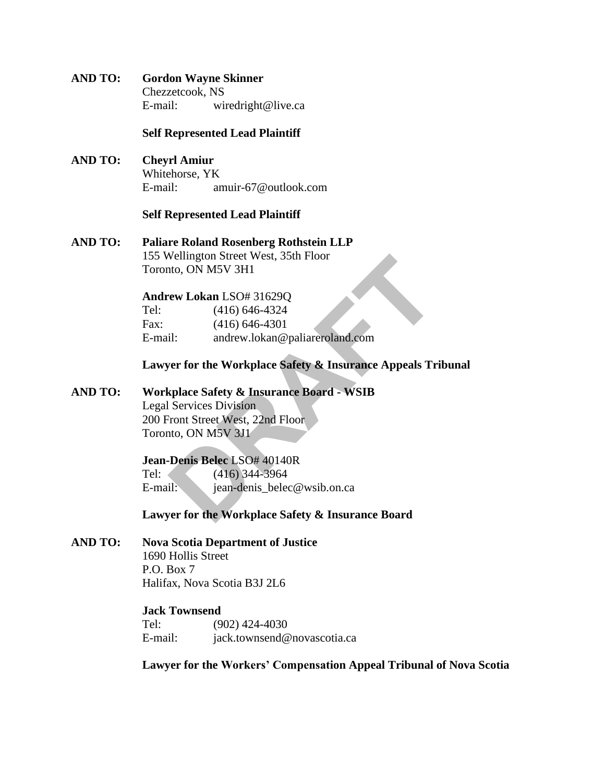**AND TO: Gordon Wayne Skinner**  Chezzetcook, NS E-mail: wiredright@live.ca

#### **Self Represented Lead Plaintiff**

**AND TO: Cheyrl Amiur**  Whitehorse, YK E-mail: amuir-67@outlook.com

#### **Self Represented Lead Plaintiff**

**AND TO: Paliare Roland Rosenberg Rothstein LLP** 155 Wellington Street West, 35th Floor Toronto, ON M5V 3H1

# **Andrew Lokan** LSO# 31629Q

|                                | 155 Wellington Street West, 35th Floor                 |
|--------------------------------|--------------------------------------------------------|
| Toronto, ON M5V 3H1            |                                                        |
|                                | Andrew Lokan LSO# 31629Q                               |
| Tel:                           | $(416)$ 646-4324                                       |
| Fax:                           | $(416) 646 - 4301$                                     |
| E-mail:                        | andrew.lokan@paliareroland.com                         |
|                                | Lawyer for the Workplace Safety & Insurance Appeals Tr |
|                                | <b>Workplace Safety &amp; Insurance Board - WSIB</b>   |
| <b>Legal Services Division</b> |                                                        |
|                                | 200 Front Street West, 22nd Floor                      |
| Toronto, ON M5V 3J1            |                                                        |
|                                | Jean-Denis Belec LSO# 40140R                           |
| Tel:                           | $(416)$ 344-3964                                       |
| E-mail:                        | jean-denis_belec@wsib.on.ca                            |
|                                | Lawyer for the Workplace Safety & Insurance Board      |

**Lawyer for the Workplace Safety & Insurance Appeals Tribunal**

**AND TO: Workplace Safety & Insurance Board - WSIB**

# **Jean-Denis Belec** LSO# 40140R Tel: (416) 344-3964 E-mail: jean-denis belec@wsib.on.ca

#### **Lawyer for the Workplace Safety & Insurance Board**

#### **AND TO: Nova Scotia Department of Justice** 1690 Hollis Street P.O. Box 7

Halifax, Nova Scotia B3J 2L6

# **Jack Townsend**

Tel: (902) 424-4030 E-mail: jack.townsend@novascotia.ca

**Lawyer for the Workers' Compensation Appeal Tribunal of Nova Scotia**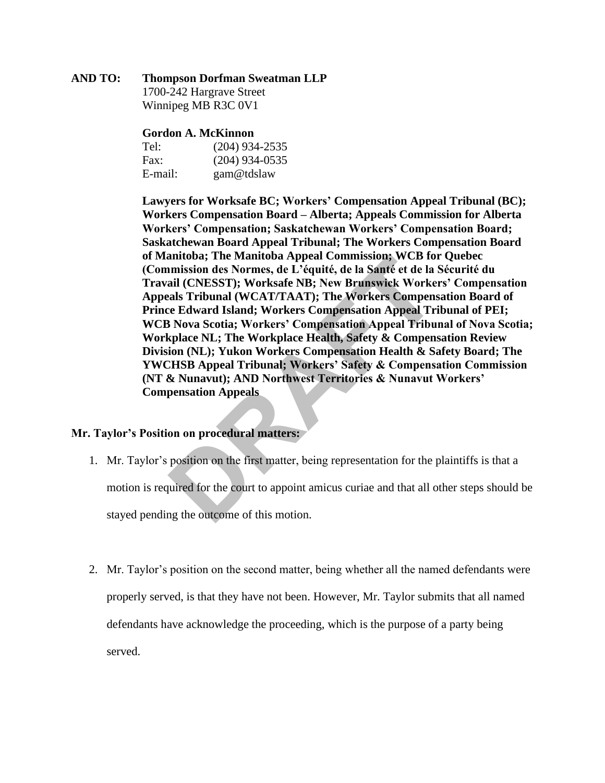#### **AND TO: Thompson Dorfman Sweatman LLP**

1700-242 Hargrave Street Winnipeg MB R3C 0V1

#### **Gordon A. McKinnon**

| Tel:    | $(204)$ 934-2535 |
|---------|------------------|
| Fax:    | $(204)$ 934-0535 |
| E-mail: | gam@tdslaw       |

**Lawyers for Worksafe BC; Workers' Compensation Appeal Tribunal (BC); Workers Compensation Board – Alberta; Appeals Commission for Alberta Workers' Compensation; Saskatchewan Workers' Compensation Board; Saskatchewan Board Appeal Tribunal; The Workers Compensation Board of Manitoba; The Manitoba Appeal Commission; WCB for Quebec (Commission des Normes, de L'équité, de la Santé et de la Sécurité du Travail (CNESST); Worksafe NB; New Brunswick Workers' Compensation Appeals Tribunal (WCAT/TAAT); The Workers Compensation Board of Prince Edward Island; Workers Compensation Appeal Tribunal of PEI; WCB Nova Scotia; Workers' Compensation Appeal Tribunal of Nova Scotia; Workplace NL; The Workplace Health, Safety & Compensation Review Division (NL); Yukon Workers Compensation Health & Safety Board; The YWCHSB Appeal Tribunal; Workers' Safety & Compensation Commission (NT & Nunavut); AND Northwest Territories & Nunavut Workers' Compensation Appeals** anitoba; The Manitoba Appeal Commission; WCB formission des Normes, de L'équité, de la Santé et de la cail (CNESST); Worksafe NB; New Brunswick Worke<br>als Tribunal (WCAT/TAAT); The Workers Compensation Appeal Tribunal (WCAT

#### **Mr. Taylor's Position on procedural matters:**

- 1. Mr. Taylor's position on the first matter, being representation for the plaintiffs is that a motion is required for the court to appoint amicus curiae and that all other steps should be stayed pending the outcome of this motion.
- 2. Mr. Taylor's position on the second matter, being whether all the named defendants were properly served, is that they have not been. However, Mr. Taylor submits that all named defendants have acknowledge the proceeding, which is the purpose of a party being served.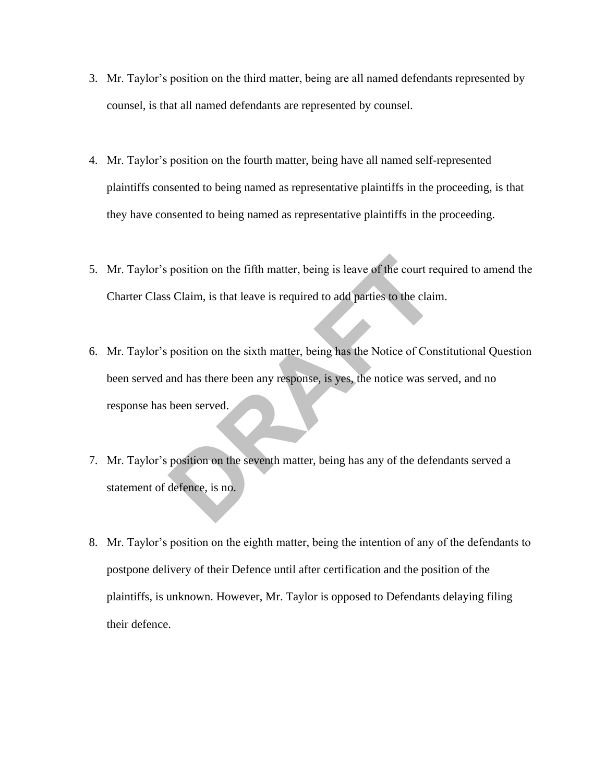- 3. Mr. Taylor's position on the third matter, being are all named defendants represented by counsel, is that all named defendants are represented by counsel.
- 4. Mr. Taylor's position on the fourth matter, being have all named self-represented plaintiffs consented to being named as representative plaintiffs in the proceeding, is that they have consented to being named as representative plaintiffs in the proceeding.
- 5. Mr. Taylor's position on the fifth matter, being is leave of the court required to amend the Charter Class Claim, is that leave is required to add parties to the claim.
- 6. Mr. Taylor's position on the sixth matter, being has the Notice of Constitutional Question been served and has there been any response, is yes, the notice was served, and no response has been served. position on the fifth matter, being is leave of the court re<br>
s Claim, is that leave is required to add parties to the claim<br>
position on the sixth matter, being has the Notice of Con<br>
and has there been any response, is y
- 7. Mr. Taylor's position on the seventh matter, being has any of the defendants served a statement of defence, is no.
- 8. Mr. Taylor's position on the eighth matter, being the intention of any of the defendants to postpone delivery of their Defence until after certification and the position of the plaintiffs, is unknown. However, Mr. Taylor is opposed to Defendants delaying filing their defence.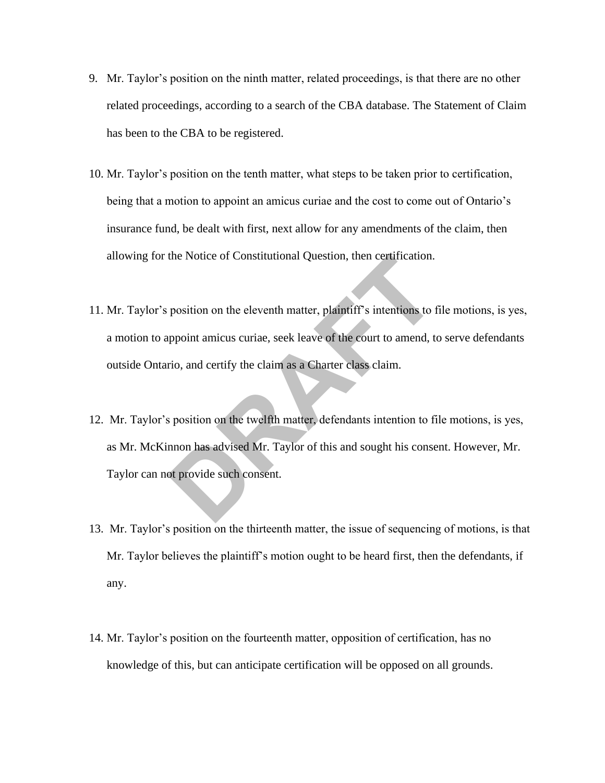- 9. Mr. Taylor's position on the ninth matter, related proceedings, is that there are no other related proceedings, according to a search of the CBA database. The Statement of Claim has been to the CBA to be registered.
- 10. Mr. Taylor's position on the tenth matter, what steps to be taken prior to certification, being that a motion to appoint an amicus curiae and the cost to come out of Ontario's insurance fund, be dealt with first, next allow for any amendments of the claim, then allowing for the Notice of Constitutional Question, then certification.
- 11. Mr. Taylor's position on the eleventh matter, plaintiff's intentions to file motions, is yes, a motion to appoint amicus curiae, seek leave of the court to amend, to serve defendants outside Ontario, and certify the claim as a Charter class claim. the Notice of Constitutional Question, then certification.<br>
position on the eleventh matter, plaintiff's intentions to to<br>
ppoint amicus curiae, seek leave of the court to amend, to<br>
rio, and certify the claim as a Charter
- 12. Mr. Taylor's position on the twelfth matter, defendants intention to file motions, is yes, as Mr. McKinnon has advised Mr. Taylor of this and sought his consent. However, Mr. Taylor can not provide such consent.
- 13. Mr. Taylor's position on the thirteenth matter, the issue of sequencing of motions, is that Mr. Taylor believes the plaintiff's motion ought to be heard first, then the defendants, if any.
- 14. Mr. Taylor's position on the fourteenth matter, opposition of certification, has no knowledge of this, but can anticipate certification will be opposed on all grounds.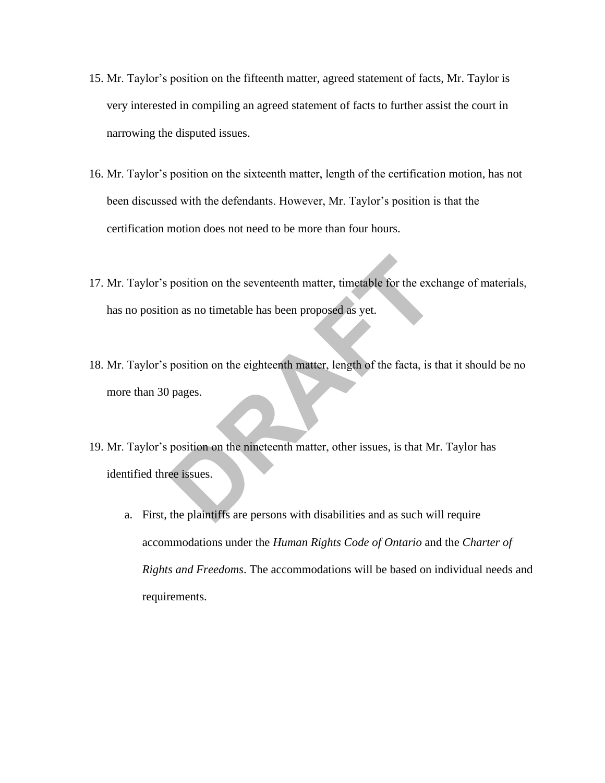- 15. Mr. Taylor's position on the fifteenth matter, agreed statement of facts, Mr. Taylor is very interested in compiling an agreed statement of facts to further assist the court in narrowing the disputed issues.
- 16. Mr. Taylor's position on the sixteenth matter, length of the certification motion, has not been discussed with the defendants. However, Mr. Taylor's position is that the certification motion does not need to be more than four hours.
- 17. Mr. Taylor's position on the seventeenth matter, timetable for the exchange of materials, has no position as no timetable has been proposed as yet.
- 18. Mr. Taylor's position on the eighteenth matter, length of the facta, is that it should be no more than 30 pages. position on the seventeenth matter, timetable for the excl<br>on as no timetable has been proposed as yet.<br>position on the eighteenth matter, length of the facta, is to<br>pages.<br>position on the nineteenth matter, other issues,
- 19. Mr. Taylor's position on the nineteenth matter, other issues, is that Mr. Taylor has identified three issues.
	- a. First, the plaintiffs are persons with disabilities and as such will require accommodations under the *Human Rights Code of Ontario* and the *Charter of Rights and Freedoms*. The accommodations will be based on individual needs and requirements.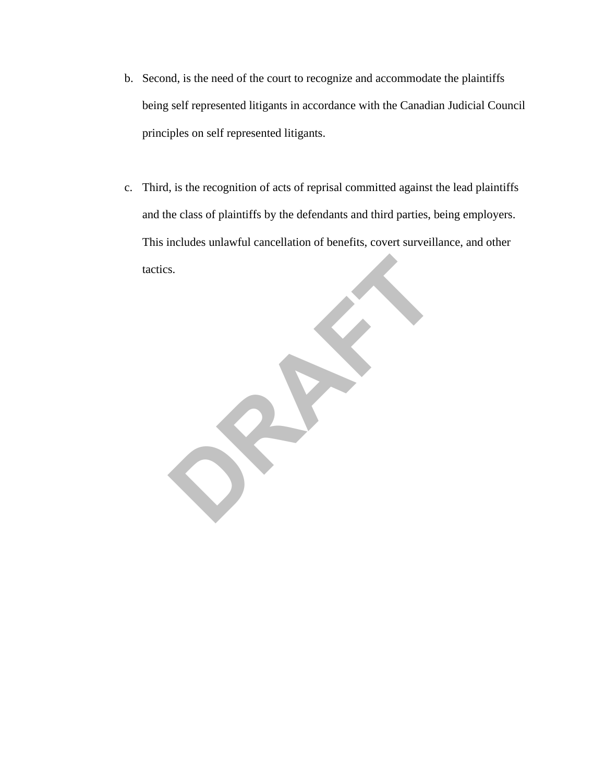- b. Second, is the need of the court to recognize and accommodate the plaintiffs being self represented litigants in accordance with the Canadian Judicial Council principles on self represented litigants.
- c. Third, is the recognition of acts of reprisal committed against the lead plaintiffs and the class of plaintiffs by the defendants and third parties, being employers. This includes unlawful cancellation of benefits, covert surveillance, and other tactics.

**DRAFT**